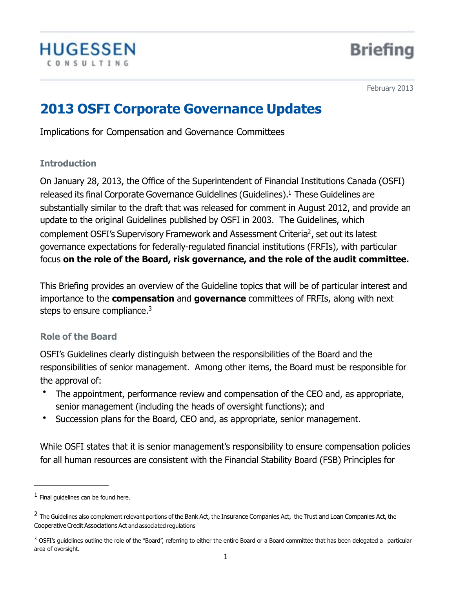

<span id="page-0-4"></span><span id="page-0-3"></span>February 2013

# **2013 OSFI Corporate Governance Updates**

Implications for Compensation and Governance Committees

### **Introduction**

On January 28, 2013, the Office of the Superintendent of Financial Institutions Canada (OSFI) released its final Corporate Governance Guidelines (Guidelines).<sup>[1](#page-0-0)</sup> These Guidelines are substantially similar to the draft that was released for comment in August 2012, and provide an update to the original Guidelines published by OSFI in 2003. The Guidelines, which complement OSFI's Supervisory Framework and Assessment Criteria<sup>[2](#page-0-1)</sup>, set out its latest governance expectations for federally-regulated financial institutions (FRFIs), with particular focus **on the role of the Board, risk governance, and the role of the audit committee.**

This Briefing provides an overview of the Guideline topics that will be of particular interest and importance to the **compensation** and **governance** committees of FRFIs, along with next steps to ensure compliance.<sup>3</sup>

## <span id="page-0-5"></span>**Role of the Board**

OSFI's Guidelines clearly distinguish between the responsibilities of the Board and the responsibilities of senior management. Among other items, the Board must be responsible for the approval of:

- The appointment, performance review and compensation of the CEO and, as appropriate, senior management (including the heads of oversight functions); and
- Succession plans for the Board, CEO and, as appropriate, senior management.

While OSFI states that it is senior management's responsibility to ensure compensation policies for all human resources are consistent with the Financial Stability Board (FSB) Principles for

<span id="page-0-0"></span> $<sup>1</sup>$  $<sup>1</sup>$  $<sup>1</sup>$  Final guidelines can be found [here.](http://www.osfi-bsif.gc.ca/app/DocRepository/1/eng/guidelines/sound/guidelines/CG_Guideline_e.pdf)</sup>

<span id="page-0-1"></span><sup>&</sup>lt;sup>[2](#page-0-4)</sup> The Guidelines also complement relevant portions of the Bank Act, the Insurance Companies Act, the Trust and Loan Companies Act, the Cooperative Credit Associations Act and associated regulations

<span id="page-0-2"></span> $3$  OSFI's guidelines outline the role of the "Board", referring to either the entire Board or a Board committee that has been delegated a particular area of oversight.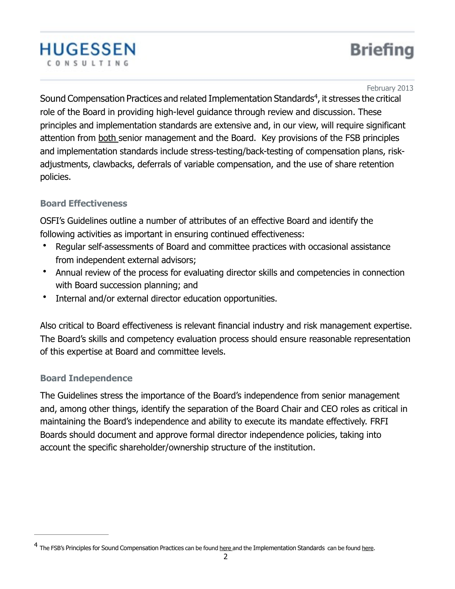<span id="page-1-1"></span>February 2013

**Briefing** 

Sound Compensation Practices and related Implementation Standards<sup>[4](#page-1-0)</sup>, it stresses the critical role of the Board in providing high-level guidance through review and discussion. These principles and implementation standards are extensive and, in our view, will require significant attention from both senior management and the Board. Key provisions of the FSB principles and implementation standards include stress-testing/back-testing of compensation plans, riskadjustments, clawbacks, deferrals of variable compensation, and the use of share retention policies.

# **Board Effectiveness**

**HUGESSEN** 

CONSULTING

OSFI's Guidelines outline a number of attributes of an effective Board and identify the following activities as important in ensuring continued effectiveness:

- Regular self-assessments of Board and committee practices with occasional assistance from independent external advisors;
- Annual review of the process for evaluating director skills and competencies in connection with Board succession planning; and
- Internal and/or external director education opportunities.

Also critical to Board effectiveness is relevant financial industry and risk management expertise. The Board's skills and competency evaluation process should ensure reasonable representation of this expertise at Board and committee levels.

## **Board Independence**

The Guidelines stress the importance of the Board's independence from senior management and, among other things, identify the separation of the Board Chair and CEO roles as critical in maintaining the Board's independence and ability to execute its mandate effectively. FRFI Boards should document and approve formal director independence policies, taking into account the specific shareholder/ownership structure of the institution.

<span id="page-1-0"></span><sup>&</sup>lt;sup>4</sup> The FSB's Principles for Sound Compensation Practices can be found [here](http://www.financialstabilityboard.org/publications/r_0904b.pdf) and the Implementation Standards can be found [here.](http://www.financialstabilityboard.org/publications/r_090925c.pdf)